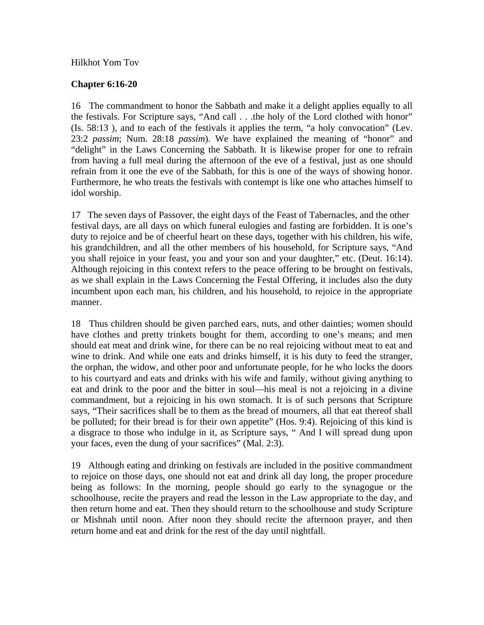## Hilkhot Yom Tov

## **Chapter 6:16-20**

16 The commandment to honor the Sabbath and make it a delight applies equally to all the festivals. For Scripture says, "And call . . .the holy of the Lord clothed with honor" (Is. 58:13 ), and to each of the festivals it applies the term, "a holy convocation" (Lev. 23:2 *passim*; Num. 28:18 *passim*). We have explained the meaning of "honor" and "delight" in the Laws Concerning the Sabbath. It is likewise proper for one to refrain from having a full meal during the afternoon of the eve of a festival, just as one should refrain from it one the eve of the Sabbath, for this is one of the ways of showing honor. Furthermore, he who treats the festivals with contempt is like one who attaches himself to idol worship.

17 The seven days of Passover, the eight days of the Feast of Tabernacles, and the other festival days, are all days on which funeral eulogies and fasting are forbidden. It is one's duty to rejoice and be of cheerful heart on these days, together with his children, his wife, his grandchildren, and all the other members of his household, for Scripture says, "And you shall rejoice in your feast, you and your son and your daughter," etc. (Deut. 16:14). Although rejoicing in this context refers to the peace offering to be brought on festivals, as we shall explain in the Laws Concerning the Festal Offering, it includes also the duty incumbent upon each man, his children, and his household, to rejoice in the appropriate manner.

18 Thus children should be given parched ears, nuts, and other dainties; women should have clothes and pretty trinkets bought for them, according to one's means; and men should eat meat and drink wine, for there can be no real rejoicing without meat to eat and wine to drink. And while one eats and drinks himself, it is his duty to feed the stranger, the orphan, the widow, and other poor and unfortunate people, for he who locks the doors to his courtyard and eats and drinks with his wife and family, without giving anything to eat and drink to the poor and the bitter in soul—his meal is not a rejoicing in a divine commandment, but a rejoicing in his own stomach. It is of such persons that Scripture says, "Their sacrifices shall be to them as the bread of mourners, all that eat thereof shall be polluted; for their bread is for their own appetite" (Hos. 9:4). Rejoicing of this kind is a disgrace to those who indulge in it, as Scripture says, " And I will spread dung upon your faces, even the dung of your sacrifices" (Mal. 2:3).

19 Although eating and drinking on festivals are included in the positive commandment to rejoice on those days, one should not eat and drink all day long, the proper procedure being as follows: In the morning, people should go early to the synagogue or the schoolhouse, recite the prayers and read the lesson in the Law appropriate to the day, and then return home and eat. Then they should return to the schoolhouse and study Scripture or Mishnah until noon. After noon they should recite the afternoon prayer, and then return home and eat and drink for the rest of the day until nightfall.